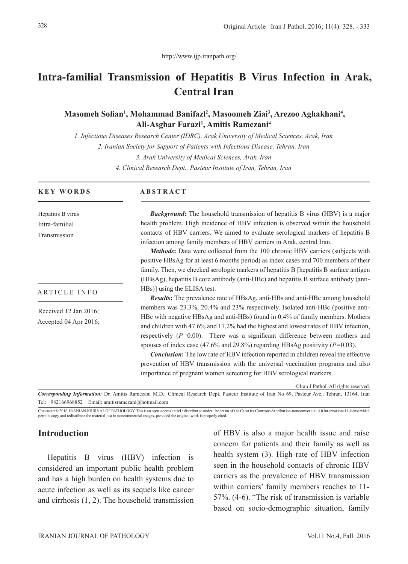http://www.ijp.iranpath.org/

# **Intra-familial Transmission of Hepatitis B Virus Infection in Arak, Central Iran**

# Masomeh Sofian<sup>1</sup>, Mohammad Banifazl<sup>2</sup>, Masoomeh Ziai<sup>3</sup>, Arezoo Aghakhani<sup>4</sup>, **Ali-Asghar Farazi1 , Amitis Ramezani4**

*1. Infectious Diseases Research Center (IDRC), Arak University of Medical Sciences, Arak, Iran*

*2. Iranian Society for Support of Patients with Infectious Disease, Tehran, Iran*

*3. Arak University of Medical Sciences, Arak, Iran*

*4. Clinical Research Dept., Pasteur Institute of Iran, Tehran, Iran*

#### **KEY WORDS**

Hepatitis B virus Intra-familial Transmission

ARTICLE INFO

Received 12 Jan 2016; Accepted 04 Apr 2016;

#### **ABSTRACT**

*Background***:** The household transmission of hepatitis B virus (HBV) is a major health problem. High incidence of HBV infection is observed within the household contacts of HBV carriers. We aimed to evaluate serological markers of hepatitis B infection among family members of HBV carriers in Arak, central Iran.

*Methods***:** Data were collected from the 100 chronic HBV carriers (subjects with positive HBsAg for at least 6 months period) as index cases and 700 members of their family. Then, we checked serologic markers of hepatitis B [hepatitis B surface antigen (HBsAg), hepatitis B core antibody (anti-HBc) and hepatitis B surface antibody (anti-HBs)] using the ELISA test.

*Results***:** The prevalence rate of HBsAg, anti-HBs and anti-HBc among household members was 23.3%, 20.4% and 23% respectively. Isolated anti-HBc (positive anti-HBc with negative HBsAg and anti-HBs) found in 0.4% of family members. Mothers and children with 47.6% and 17.2% had the highest and lowest rates of HBV infection, respectively (*P=*0.00). There was a significant difference between mothers and spouses of index case (47.6% and 29.8%) regarding HBsAg positivity (*P=*0.03).

*Conclusion***:** The low rate of HBV infection reported in children reveal the effective prevention of HBV transmission with the universal vaccination programs and also importance of pregnant women screening for HBV serological markers.

©Iran J Pathol. All rights reserved.

*Corresponding Information:* Dr. Amitis Ramezani M.D.: Clinical Research Dept. Pasteur Institute of Iran No 69, Pasteur Ave., Tehran, 13164, Iran Tel: +982166968852 Email: amitisramezani@hotmail.com

COPYRIGHT © 2016, IRANIAN JOURNAL OF PATHOLOGY. This is an open-access art icle dist ribut ed under the terms of the Creative Commons Att ribut ion-noncommer cial 4.0 Internat ional License which permits copy and redistribute the material just in noncommercial usages, provided the original work is properly cited.

### **Introduction**

Hepatitis B virus (HBV) infection is considered an important public health problem and has a high burden on health systems due to acute infection as well as its sequels like cancer and cirrhosis (1, 2). The household transmission of HBV is also a major health issue and raise concern for patients and their family as well as health system (3). High rate of HBV infection seen in the household contacts of chronic HBV carriers as the prevalence of HBV transmission within carriers' family members reaches to 11- 57%. (4-6). "The risk of transmission is variable based on socio-demographic situation, family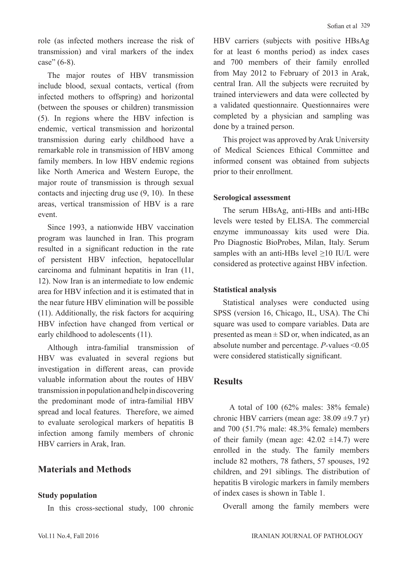role (as infected mothers increase the risk of transmission) and viral markers of the index case" (6-8).

The major routes of HBV transmission include blood, sexual contacts, vertical (from infected mothers to offspring) and horizontal (between the spouses or children) transmission (5). In regions where the HBV infection is endemic, vertical transmission and horizontal transmission during early childhood have a remarkable role in transmission of HBV among family members. In low HBV endemic regions like North America and Western Europe, the major route of transmission is through sexual contacts and injecting drug use (9, 10). In these areas, vertical transmission of HBV is a rare event.

Since 1993, a nationwide HBV vaccination program was launched in Iran. This program resulted in a significant reduction in the rate of persistent HBV infection, hepatocellular carcinoma and fulminant hepatitis in Iran (11, 12). Now Iran is an intermediate to low endemic area for HBV infection and it is estimated that in the near future HBV elimination will be possible (11). Additionally, the risk factors for acquiring HBV infection have changed from vertical or early childhood to adolescents (11).

Although intra-familial transmission of HBV was evaluated in several regions but investigation in different areas, can provide valuable information about the routes of HBV transmission in population and help in discovering the predominant mode of intra-familial HBV spread and local features. Therefore, we aimed to evaluate serological markers of hepatitis B infection among family members of chronic HBV carriers in Arak, Iran.

# **Materials and Methods**

### **Study population**

In this cross-sectional study, 100 chronic

HBV carriers (subjects with positive HBsAg for at least 6 months period) as index cases and 700 members of their family enrolled from May 2012 to February of 2013 in Arak, central Iran. All the subjects were recruited by trained interviewers and data were collected by a validated questionnaire. Questionnaires were completed by a physician and sampling was done by a trained person.

This project was approved by Arak University of Medical Sciences Ethical Committee and informed consent was obtained from subjects prior to their enrollment.

### **Serological assessment**

The serum HBsAg, anti-HBs and anti-HBc levels were tested by ELISA. The commercial enzyme immunoassay kits used were Dia. Pro Diagnostic BioProbes, Milan, Italy. Serum samples with an anti-HBs level >10 IU/L were considered as protective against HBV infection.

### **Statistical analysis**

Statistical analyses were conducted using SPSS (version 16, Chicago, IL, USA). The Chi square was used to compare variables. Data are presented as mean  $\pm$  SD or, when indicated, as an absolute number and percentage. *P-*values <0.05 were considered statistically significant.

# **Results**

 A total of 100 (62% males: 38% female) chronic HBV carriers (mean age:  $38.09 \pm 9.7$  yr) and 700 (51.7% male: 48.3% female) members of their family (mean age:  $42.02 \pm 14.7$ ) were enrolled in the study. The family members include 82 mothers, 78 fathers, 57 spouses, 192 children, and 291 siblings. The distribution of hepatitis B virologic markers in family members of index cases is shown in Table 1.

Overall among the family members were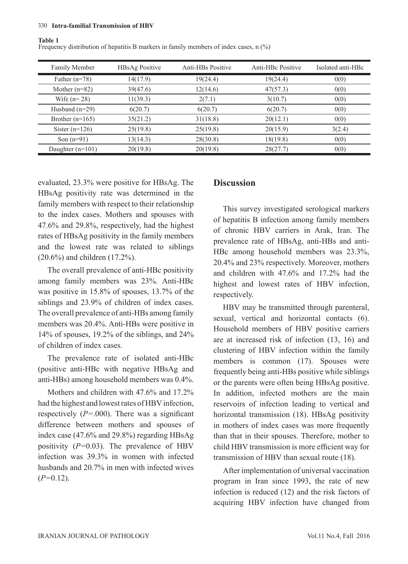#### 330 **Intra-familial Transmission of HBV**

#### **Table 1**

Frequency distribution of hepatitis B markers in family members of index cases, n (%)

| <b>Family Member</b> | <b>HBsAg Positive</b> | Anti-HBs Positive | Anti-HBc Positive | Isolated anti-HBc |
|----------------------|-----------------------|-------------------|-------------------|-------------------|
| Father $(n=78)$      | 14(17.9)              | 19(24.4)          | 19(24.4)          | 0(0)              |
| Mother $(n=82)$      | 39(47.6)              | 12(14.6)          | 47(57.3)          | 0(0)              |
| Wife $(n=28)$        | 11(39.3)              | 2(7.1)            | 3(10.7)           | 0(0)              |
| Husband $(n=29)$     | 6(20.7)               | 6(20.7)           | 6(20.7)           | 0(0)              |
| Brother $(n=165)$    | 35(21.2)              | 31(18.8)          | 20(12.1)          | 0(0)              |
| Sister $(n=126)$     | 25(19.8)              | 25(19.8)          | 20(15.9)          | 3(2.4)            |
| Son $(n=91)$         | 13(14.3)              | 28(30.8)          | 18(19.8)          | 0(0)              |
| Daughter $(n=101)$   | 20(19.8)              | 20(19.8)          | 28(27.7)          | 0(0)              |

evaluated, 23.3% were positive for HBsAg. The HBsAg positivity rate was determined in the family members with respect to their relationship to the index cases. Mothers and spouses with 47.6% and 29.8%, respectively, had the highest rates of HBsAg positivity in the family members and the lowest rate was related to siblings (20.6%) and children (17.2%).

The overall prevalence of anti-HBc positivity among family members was 23%. Anti-HBc was positive in 15.8% of spouses, 13.7% of the siblings and 23.9% of children of index cases. The overall prevalence of anti-HBs among family members was 20.4%. Anti-HBs were positive in 14% of spouses, 19.2% of the siblings, and 24% of children of index cases.

The prevalence rate of isolated anti-HBc (positive anti-HBc with negative HBsAg and anti-HBs) among household members was 0.4%.

Mothers and children with 47.6% and 17.2% had the highest and lowest rates of HBV infection, respectively (*P=*.000). There was a significant difference between mothers and spouses of index case (47.6% and 29.8%) regarding HBsAg positivity (*P=*0.03). The prevalence of HBV infection was 39.3% in women with infected husbands and 20.7% in men with infected wives (*P=*0.12).

### **Discussion**

This survey investigated serological markers of hepatitis B infection among family members of chronic HBV carriers in Arak, Iran. The prevalence rate of HBsAg, anti-HBs and anti-HBc among household members was 23.3%, 20.4% and 23% respectively. Moreover, mothers and children with 47.6% and 17.2% had the highest and lowest rates of HBV infection, respectively.

HBV may be transmitted through parenteral, sexual, vertical and horizontal contacts (6). Household members of HBV positive carriers are at increased risk of infection (13, 16) and clustering of HBV infection within the family members is common (17). Spouses were frequently being anti-HBs positive while siblings or the parents were often being HBsAg positive. In addition, infected mothers are the main reservoirs of infection leading to vertical and horizontal transmission (18). HBsAg positivity in mothers of index cases was more frequently than that in their spouses. Therefore, mother to child HBV transmission is more efficient way for transmission of HBV than sexual route (18).

After implementation of universal vaccination program in Iran since 1993, the rate of new infection is reduced (12) and the risk factors of acquiring HBV infection have changed from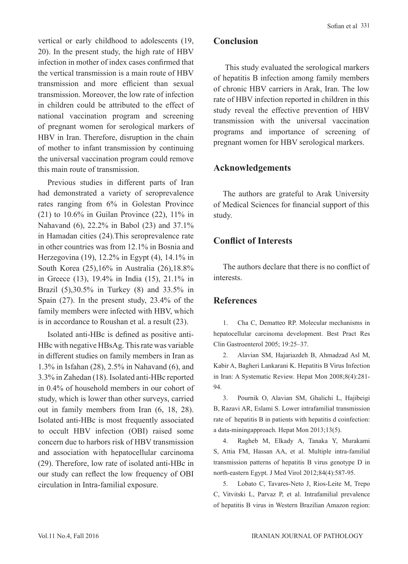vertical or early childhood to adolescents (19, 20). In the present study, the high rate of HBV infection in mother of index cases confirmed that the vertical transmission is a main route of HBV transmission and more efficient than sexual transmission. Moreover, the low rate of infection in children could be attributed to the effect of national vaccination program and screening of pregnant women for serological markers of HBV in Iran. Therefore, disruption in the chain of mother to infant transmission by continuing the universal vaccination program could remove this main route of transmission.

Previous studies in different parts of Iran had demonstrated a variety of seroprevalence rates ranging from 6% in Golestan Province (21) to 10.6% in Guilan Province (22), 11% in Nahavand (6), 22.2% in Babol (23) and 37.1% in Hamadan cities (24).This seroprevalence rate in other countries was from 12.1% in Bosnia and Herzegovina (19), 12.2% in Egypt (4), 14.1% in South Korea (25),16% in Australia (26),18.8% in Greece (13), 19.4% in India (15), 21.1% in Brazil (5),30.5% in Turkey (8) and 33.5% in Spain (27). In the present study, 23.4% of the family members were infected with HBV, which is in accordance to Roushan et al. a result (23).

Isolated anti-HBc is defined as positive anti-HBc with negative HBsAg. This rate was variable in different studies on family members in Iran as 1.3% in Isfahan (28), 2.5% in Nahavand (6), and 3.3% in Zahedan (18). Isolated anti-HBc reported in 0.4% of household members in our cohort of study, which is lower than other surveys, carried out in family members from Iran (6, 18, 28). Isolated anti-HBc is most frequently associated to occult HBV infection (OBI) raised some concern due to harbors risk of HBV transmission and association with hepatocellular carcinoma (29). Therefore, low rate of isolated anti-HBc in our study can reflect the low frequency of OBI circulation in Intra-familial exposure.

# **Conclusion**

 This study evaluated the serological markers of hepatitis B infection among family members of chronic HBV carriers in Arak, Iran. The low rate of HBV infection reported in children in this study reveal the effective prevention of HBV transmission with the universal vaccination programs and importance of screening of pregnant women for HBV serological markers.

# **Acknowledgements**

The authors are grateful to Arak University of Medical Sciences for financial support of this study.

# **Conflict of Interests**

The authors declare that there is no conflict of interests.

# **References**

1. Cha C, Dematteo RP. Molecular mechanisms in hepatocellular carcinoma development. Best Pract Res Clin Gastroenterol 2005; 19:25–37.

2. Alavian SM, Hajariazdeh B, Ahmadzad Asl M, Kabir A, Bagheri Lankarani K. Hepatitis B Virus Infection in Iran: A Systematic Review. Hepat Mon 2008;8(4):281- 94.

3. Pournik O, Alavian SM, Ghalichi L, Hajibeigi B, Razavi AR, Eslami S. Lower intrafamilial transmission rate of hepatitis B in patients with hepatitis d coinfection: a data-miningapproach. Hepat Mon 2013;13(5).

4. Ragheb M, Elkady A, Tanaka Y, Murakami S, Attia FM, Hassan AA, et al. Multiple intra-familial transmission patterns of hepatitis B virus genotype D in north-eastern Egypt. J Med Virol 2012;84(4):587-95.

5. Lobato C, Tavares-Neto J, Rios-Leite M, Trepo C, Vitvitski L, Parvaz P, et al. Intrafamilial prevalence of hepatitis B virus in Western Brazilian Amazon region: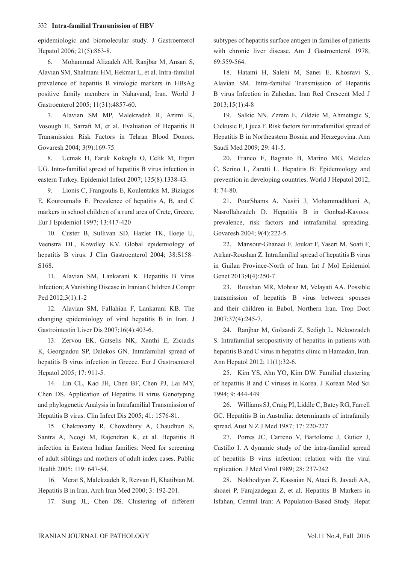#### 332 **Intra-familial Transmission of HBV**

epidemiologic and biomolecular study. J Gastroenterol Hepatol 2006; 21(5):863-8.

6. Mohammad Alizadeh AH, Ranjbar M, Ansari S, Alavian SM, Shalmani HM, Hekmat L, et al. Intra-familial prevalence of hepatitis B virologic markers in HBsAg positive family members in Nahavand, Iran. World J Gastroenterol 2005; 11(31):4857-60.

7. Alavian SM MP, Malekzadeh R, Azimi K, Vosough H, Sarrafi M, et al. Evaluation of Hepatitis B Transmission Risk Factors in Tehran Blood Donors. Govaresh 2004; 3(9):169-75.

8. Ucmak H, Faruk Kokoglu O, Celik M, Ergun UG. Intra-familial spread of hepatitis B virus infection in eastern Turkey. Epidemiol Infect 2007; 135(8):1338-43.

9. Lionis C, Frangoulis E, Koulentakis M, Biziagos E, Kouroumalis E. Prevalence of hepatitis A, B, and C markers in school children of a rural area of Crete, Greece. Eur J Epidemiol 1997; 13:417-420

10. Custer B, Sullivan SD, Hazlet TK, Iloeje U, Veenstra DL, Kowdley KV. Global epidemiology of hepatitis B virus. J Clin Gastroenterol 2004; 38:S158– S168.

11. Alavian SM, Lankarani K. Hepatitis B Virus Infection; A Vanishing Disease in Iranian Children J Compr Ped 2012;3(1):1-2

12. Alavian SM, Fallahian F, Lankarani KB. The changing epidemiology of viral hepatitis B in Iran. J Gastrointestin Liver Dis 2007;16(4):403-6.

13. Zervou EK, Gatselis NK, Xanthi E, Ziciadis K, Georgiadou SP, Dalekos GN. Intrafamilial spread of hepatitis B virus infection in Greece. Eur J Gastroenterol Hepatol 2005; 17: 911-5.

14. Lin CL, Kao JH, Chen BF, Chen PJ, Lai MY, Chen DS. Application of Hepatitis B virus Genotyping and phylogenetic Analysis in Intrafamilial Transmission of Hepatitis B virus. Clin Infect Dis 2005; 41: 1576-81.

15. Chakravarty R, Chowdhury A, Chaudhuri S, Santra A, Neogi M, Rajendran K, et al. Hepatitis B infection in Eastern Indian families: Need for screening of adult siblings and mothers of adult index cases. Public Health 2005; 119: 647-54.

16. Merat S, Malekzadeh R, Rezvan H, Khatibian M. Hepatitis B in Iran. Arch Iran Med 2000; 3: 192-201.

17. Sung JL, Chen DS. Clustering of different

subtypes of hepatitis surface antigen in families of patients with chronic liver disease. Am J Gastroenterol 1978; 69:559-564.

18. Hatami H, Salehi M, Sanei E, Khosravi S, Alavian SM. Intra-familial Transmission of Hepatitis B virus Infection in Zahedan. Iran Red Crescent Med J 2013;15(1):4-8

19. Salkic NN, Zerem E, Zildzic M, Ahmetagic S, Cickusic E, Ljuca F. Risk factors for intrafamilial spread of Hepatitis B in Northeastern Bosnia and Herzegovina. Ann Saudi Med 2009; 29: 41-5.

20. Franco E, Bagnato B, Marino MG, Meleleo C, Serino L, Zaratti L. Hepatitis B: Epidemiology and prevention in developing countries. World J Hepatol 2012; 4: 74-80.

21. PourShams A, Nasiri J, Mohammadkhani A, Nasrollahzadeh D. Hepatitis B in Gonbad-Kavoos: prevalence, risk factors and intrafamilial spreading. Govaresh 2004; 9(4):222-5.

22. Mansour-Ghanaei F, Joukar F, Yaseri M, Soati F, Atrkar-Roushan Z. Intrafamilial spread of hepatitis B virus in Guilan Province-North of Iran. Int J Mol Epidemiol Genet 2013;4(4):250-7

23. Roushan MR, Mohraz M, Velayati AA. Possible transmission of hepatitis B virus between spouses and their children in Babol, Northern Iran. Trop Doct 2007;37(4):245-7.

24. Ranjbar M, Golzardi Z, Sedigh L, Nekoozadeh S. Intrafamilial seropositivity of hepatitis in patients with hepatitis B and C virus in hepatitis clinic in Hamadan, Iran. Ann Hepatol 2012; 11(1):32-6.

25. Kim YS, Ahn YO, Kim DW. Familial clustering of hepatitis B and C viruses in Korea. J Korean Med Sci 1994; 9: 444-449

26. Williams SJ, Craig PI, Liddle C, Batey RG, Farrell GC. Hepatitis B in Australia: determinants of intrafamily spread. Aust N Z J Med 1987; 17: 220-227

27. Porres JC, Carreno V, Bartolome J, Gutiez J, Castillo I. A dynamic study of the intra-familial spread of hepatitis B virus infection: relation with the viral replication. J Med Virol 1989; 28: 237-242

28. Nokhodiyan Z, Kassaian N, Ataei B, Javadi AA, shoaei P, Farajzadegan Z, et al. Hepatitis B Markers in Isfahan, Central Iran: A Population-Based Study. Hepat